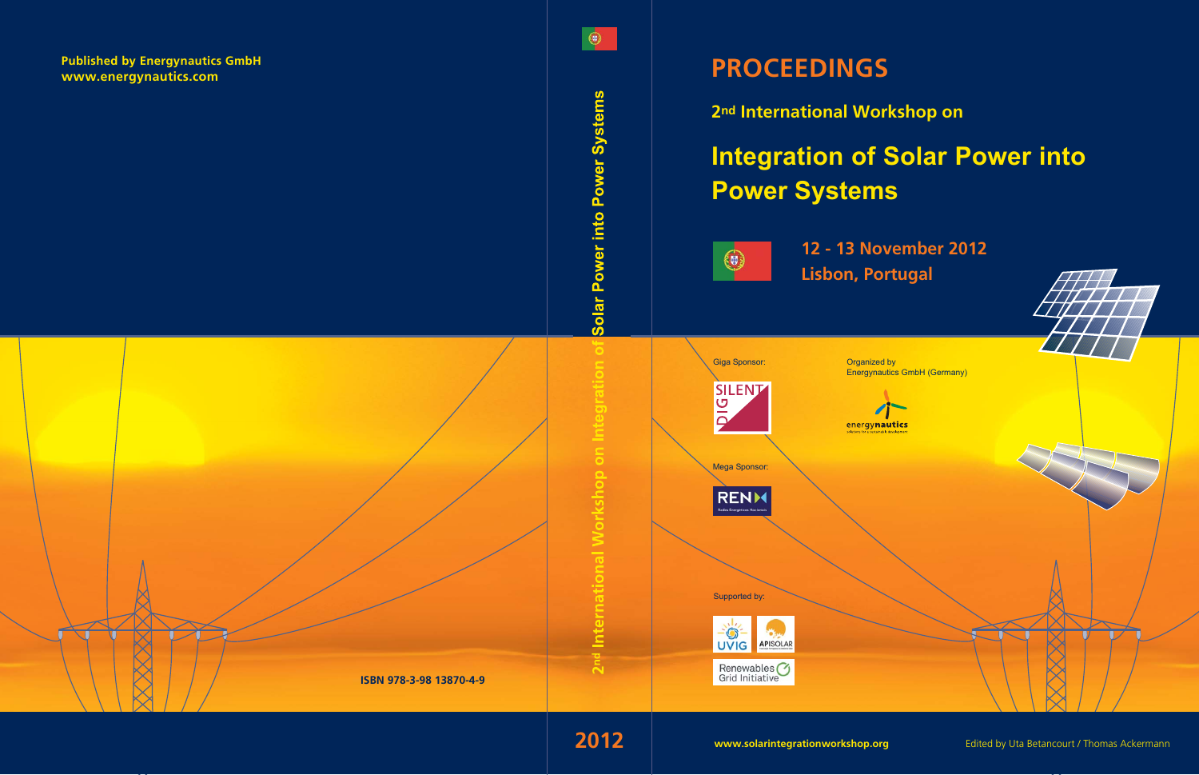

2nd International Workshop on

# **Integration of Solar Power into Power Systems**



12 - 13 November 2012 **Lisbon, Portugal** 

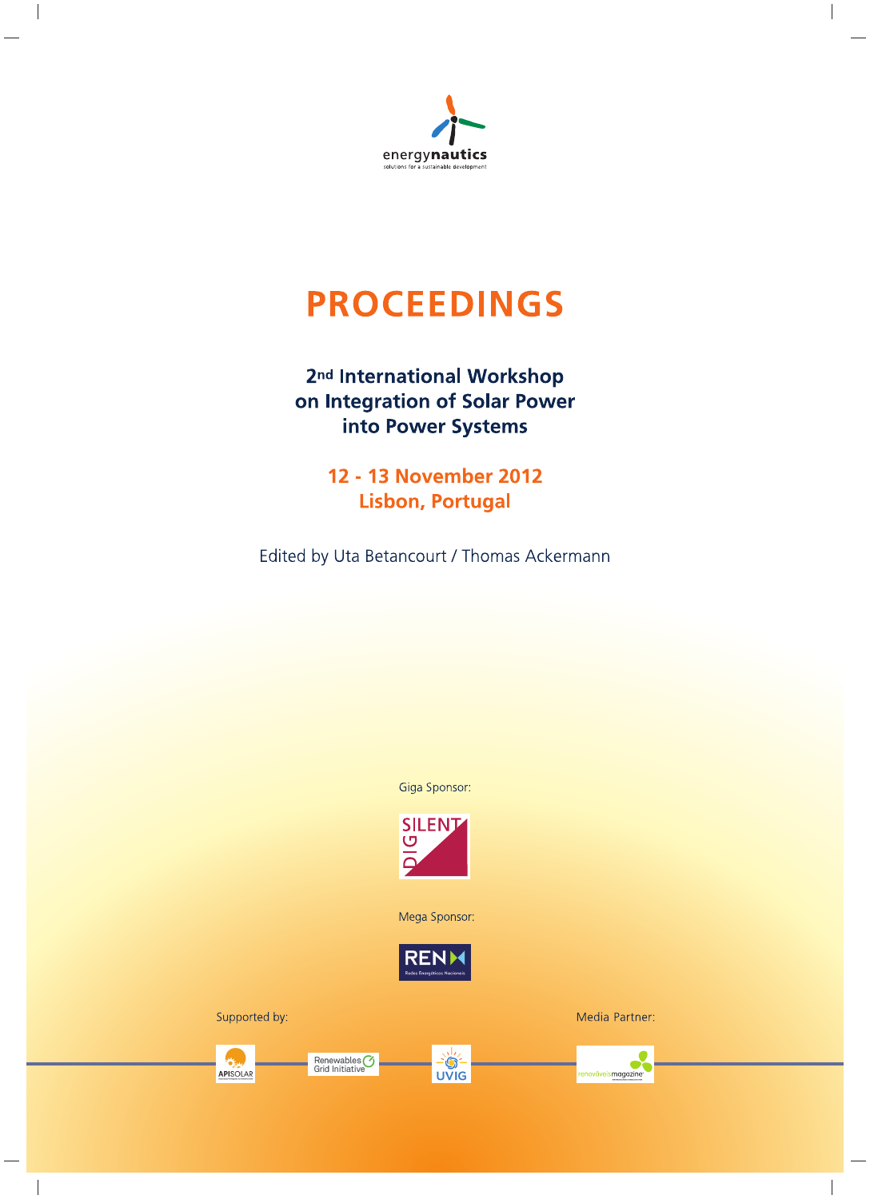

# **PROCEEDINGS**

## 2<sup>nd</sup> International Workshop on Integration of Solar Power into Power Systems

**12 - 13 November 2012 Lisbon, Portugal** 

Edited by Uta Betancourt / Thomas Ackermann

Giga Sponsor:



Mega Sponsor:



Supported by:



Renewables<sup>(2)</sup><br>Grid Initiative



 $\bullet$ **UVIG**  Media Partner:

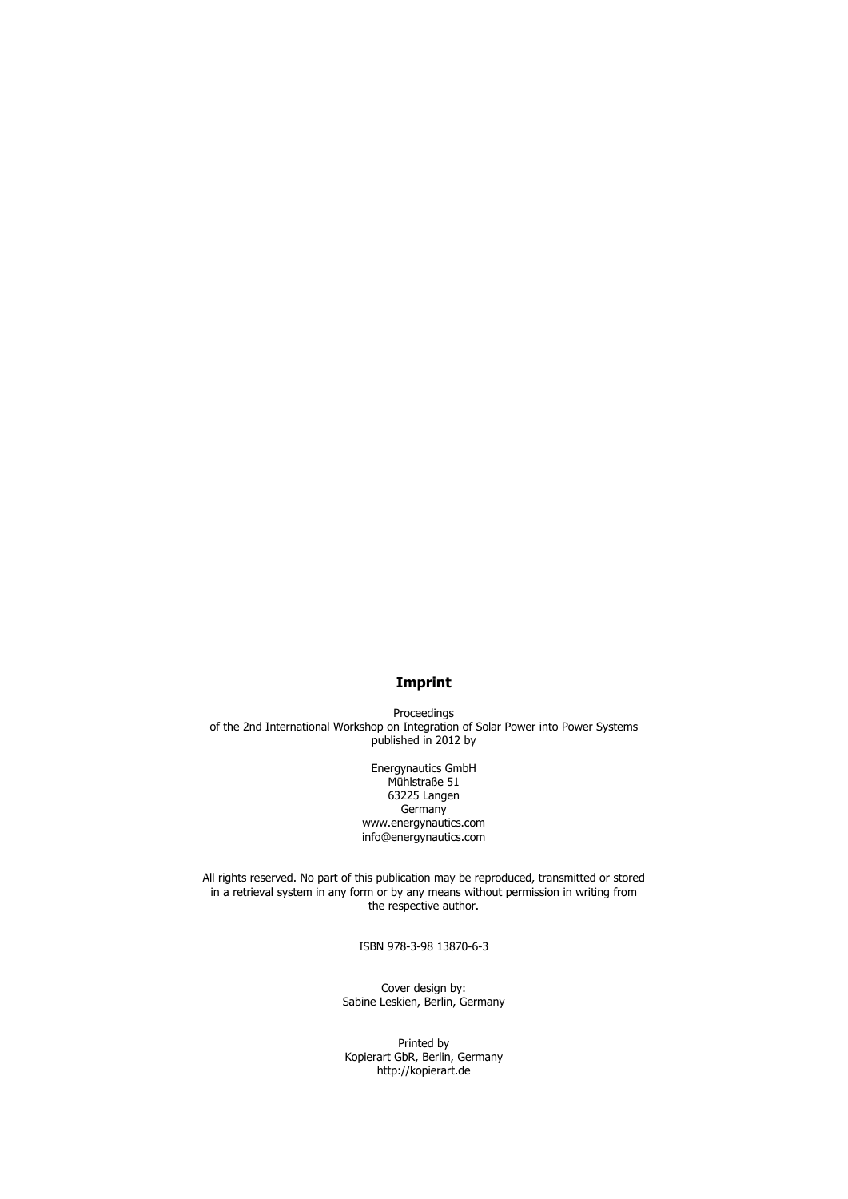#### **Imprint**

Proceedings of the 2nd International Workshop on Integration of Solar Power into Power Systems published in 2012 by

> Energynautics GmbH Mühlstraße 51 63225 Langen **Germany** www.energynautics.com info@energynautics.com

All rights reserved. No part of this publication may be reproduced, transmitted or stored in a retrieval system in any form or by any means without permission in writing from the respective author.

ISBN 978-3-98 13870-6-3

Cover design by: Sabine Leskien, Berlin, Germany

Printed by Kopierart GbR, Berlin, Germany http://kopierart.de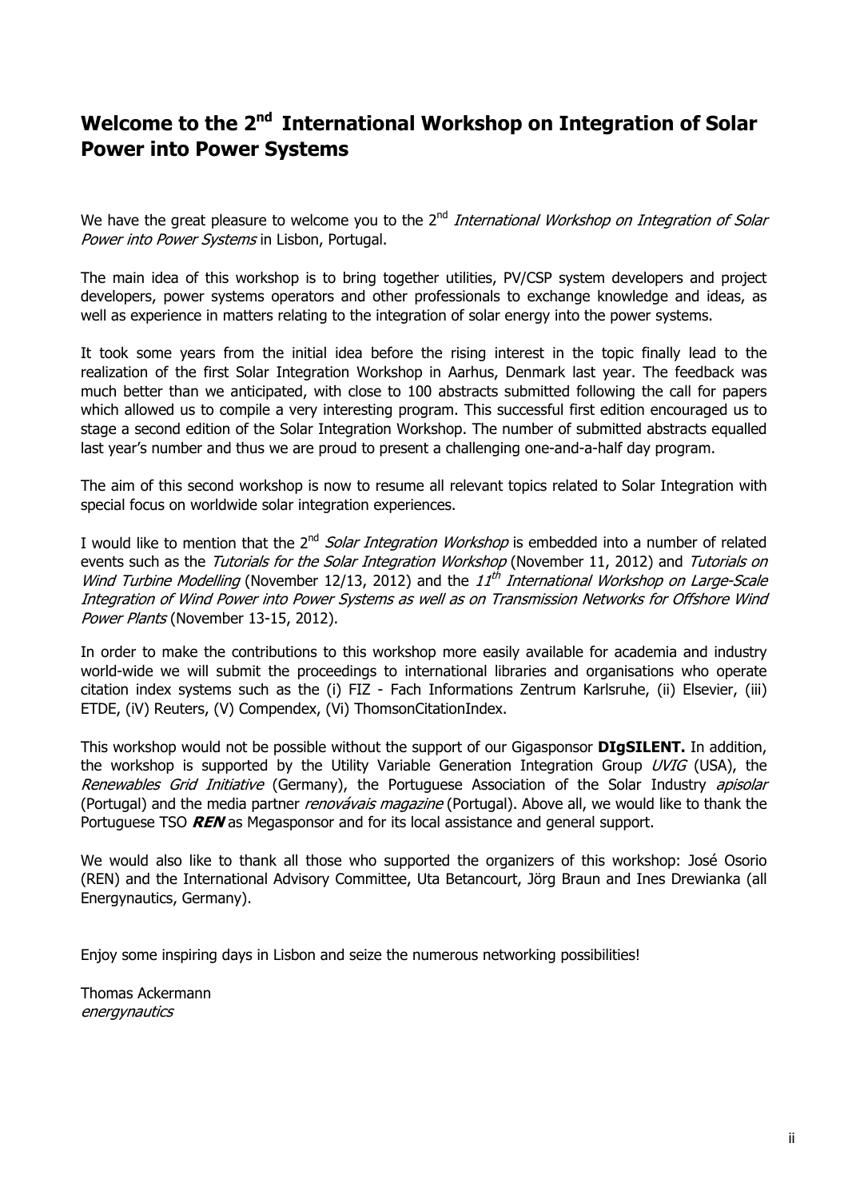## **Welcome to the 2nd International Workshop on Integration of Solar Power into Power Systems**

We have the great pleasure to welcome you to the  $2<sup>nd</sup> International Workshop on Integration of Solar$ Power into Power Systems in Lisbon, Portugal.

The main idea of this workshop is to bring together utilities, PV/CSP system developers and project developers, power systems operators and other professionals to exchange knowledge and ideas, as well as experience in matters relating to the integration of solar energy into the power systems.

It took some years from the initial idea before the rising interest in the topic finally lead to the realization of the first Solar Integration Workshop in Aarhus, Denmark last year. The feedback was much better than we anticipated, with close to 100 abstracts submitted following the call for papers which allowed us to compile a very interesting program. This successful first edition encouraged us to stage a second edition of the Solar Integration Workshop. The number of submitted abstracts equalled last year's number and thus we are proud to present a challenging one-and-a-half day program.

The aim of this second workshop is now to resume all relevant topics related to Solar Integration with special focus on worldwide solar integration experiences.

I would like to mention that the 2<sup>nd</sup> Solar Integration Workshop is embedded into a number of related events such as the Tutorials for the Solar Integration Workshop (November 11, 2012) and Tutorials on Wind Turbine Modelling (November 12/13, 2012) and the  $11^{th}$  International Workshop on Large-Scale Integration of Wind Power into Power Systems as well as on Transmission Networks for Offshore Wind Power Plants (November 13-15, 2012).

In order to make the contributions to this workshop more easily available for academia and industry world-wide we will submit the proceedings to international libraries and organisations who operate citation index systems such as the (i) FIZ - Fach Informations Zentrum Karlsruhe, (ii) Elsevier, (iii) ETDE, (iV) Reuters, (V) Compendex, (Vi) ThomsonCitationIndex.

This workshop would not be possible without the support of our Gigasponsor **DIgSILENT.** In addition, the workshop is supported by the Utility Variable Generation Integration Group  $UVIG$  (USA), the Renewables Grid Initiative (Germany), the Portuguese Association of the Solar Industry apisolar (Portugal) and the media partner renovávais magazine (Portugal). Above all, we would like to thank the Portuguese TSO **REN** as Megasponsor and for its local assistance and general support.

We would also like to thank all those who supported the organizers of this workshop: José Osorio (REN) and the International Advisory Committee, Uta Betancourt, Jörg Braun and Ines Drewianka (all Energynautics, Germany).

Enjoy some inspiring days in Lisbon and seize the numerous networking possibilities!

Thomas Ackermann energynautics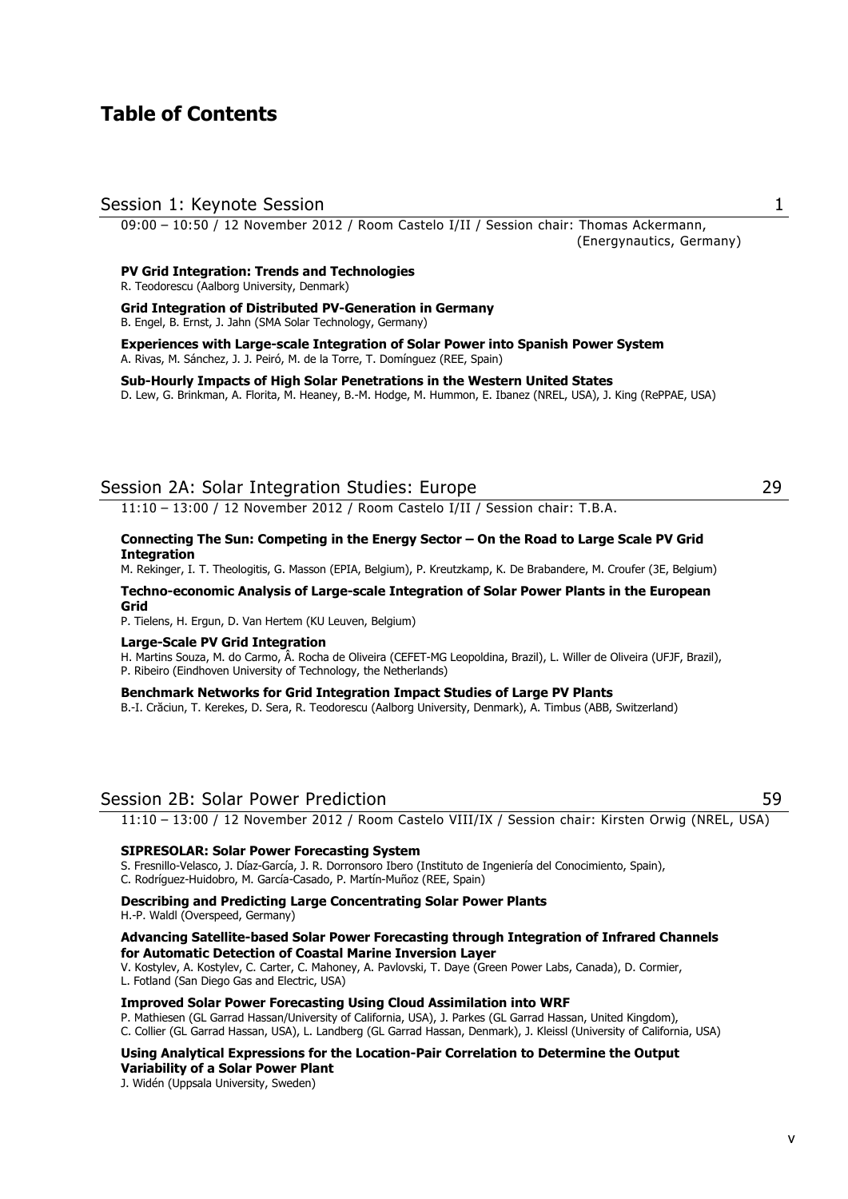## **Table of Contents**

#### Session 1: Keynote Session 1

09:00 – 10:50 / 12 November 2012 / Room Castelo I/II / Session chair: Thomas Ackermann, (Energynautics, Germany)

#### **PV Grid Integration: Trends and Technologies**

R. Teodorescu (Aalborg University, Denmark)

#### **Grid Integration of Distributed PV-Generation in Germany**  B. Engel, B. Ernst, J. Jahn (SMA Solar Technology, Germany)

**Experiences with Large-scale Integration of Solar Power into Spanish Power System**  A. Rivas, M. Sánchez, J. J. Peiró, M. de la Torre, T. Domínguez (REE, Spain)

#### **Sub-Hourly Impacts of High Solar Penetrations in the Western United States**

D. Lew, G. Brinkman, A. Florita, M. Heaney, B.-M. Hodge, M. Hummon, E. Ibanez (NREL, USA), J. King (RePPAE, USA)

## Session 2A: Solar Integration Studies: Europe 29

11:10 – 13:00 / 12 November 2012 / Room Castelo I/II / Session chair: T.B.A.

#### **Connecting The Sun: Competing in the Energy Sector – On the Road to Large Scale PV Grid Integration**

M. Rekinger, I. T. Theologitis, G. Masson (EPIA, Belgium), P. Kreutzkamp, K. De Brabandere, M. Croufer (3E, Belgium)

#### **Techno-economic Analysis of Large-scale Integration of Solar Power Plants in the European Grid**

P. Tielens, H. Ergun, D. Van Hertem (KU Leuven, Belgium)

#### **Large-Scale PV Grid Integration**

H. Martins Souza, M. do Carmo, Â. Rocha de Oliveira (CEFET-MG Leopoldina, Brazil), L. Willer de Oliveira (UFJF, Brazil), P. Ribeiro (Eindhoven University of Technology, the Netherlands)

#### **Benchmark Networks for Grid Integration Impact Studies of Large PV Plants**

B.-I. Crăciun, T. Kerekes, D. Sera, R. Teodorescu (Aalborg University, Denmark), A. Timbus (ABB, Switzerland)

### Session 2B: Solar Power Prediction 59

11:10 – 13:00 / 12 November 2012 / Room Castelo VIII/IX / Session chair: Kirsten Orwig (NREL, USA)

#### **SIPRESOLAR: Solar Power Forecasting System**

S. Fresnillo-Velasco, J. Díaz-García, J. R. Dorronsoro Ibero (Instituto de Ingeniería del Conocimiento, Spain), C. Rodríguez-Huidobro, M. García-Casado, P. Martín-Muñoz (REE, Spain)

#### **Describing and Predicting Large Concentrating Solar Power Plants**

H.-P. Waldl (Overspeed, Germany)

#### **Advancing Satellite-based Solar Power Forecasting through Integration of Infrared Channels for Automatic Detection of Coastal Marine Inversion Layer**

V. Kostylev, A. Kostylev, C. Carter, C. Mahoney, A. Pavlovski, T. Daye (Green Power Labs, Canada), D. Cormier, L. Fotland (San Diego Gas and Electric, USA)

#### **Improved Solar Power Forecasting Using Cloud Assimilation into WRF**

P. Mathiesen (GL Garrad Hassan/University of California, USA), J. Parkes (GL Garrad Hassan, United Kingdom), C. Collier (GL Garrad Hassan, USA), L. Landberg (GL Garrad Hassan, Denmark), J. Kleissl (University of California, USA)

#### **Using Analytical Expressions for the Location-Pair Correlation to Determine the Output Variability of a Solar Power Plant**

J. Widén (Uppsala University, Sweden)

#### v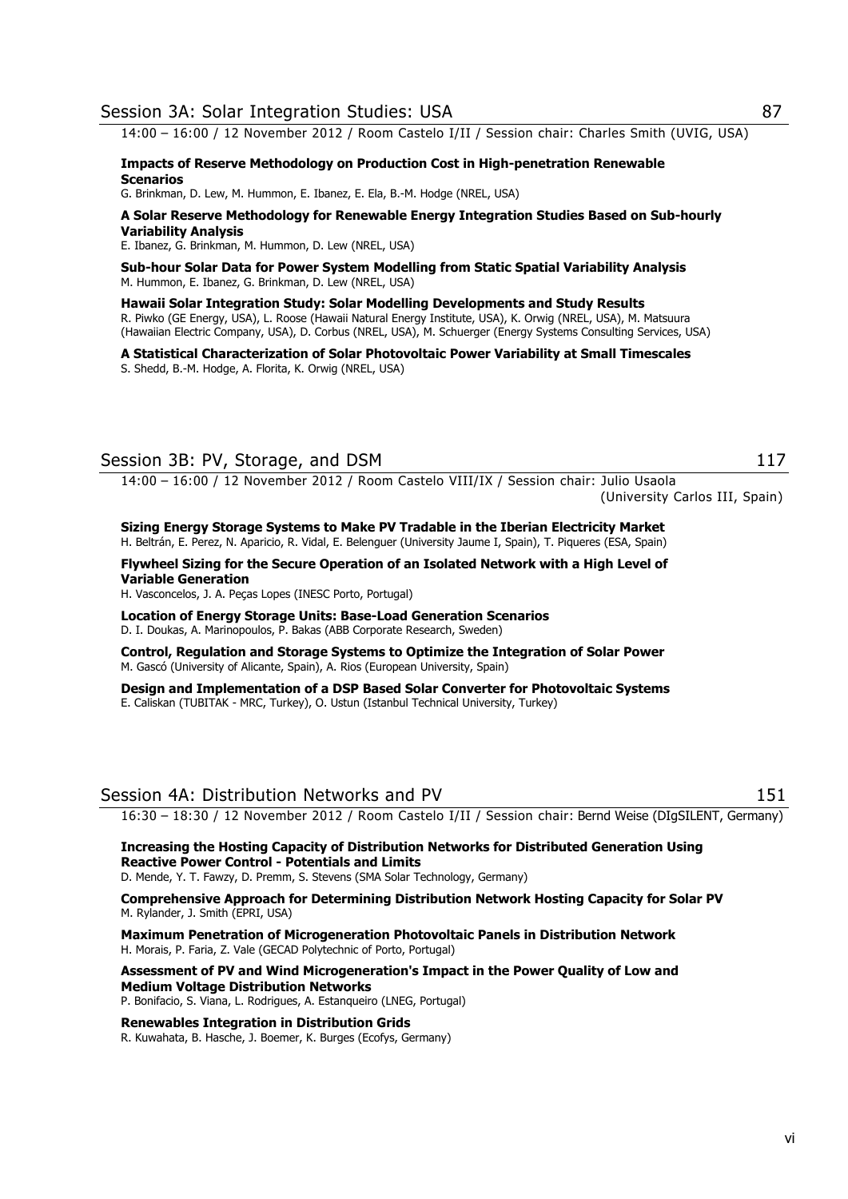14:00 – 16:00 / 12 November 2012 / Room Castelo I/II / Session chair: Charles Smith (UVIG, USA)

**Impacts of Reserve Methodology on Production Cost in High-penetration Renewable Scenarios** 

G. Brinkman, D. Lew, M. Hummon, E. Ibanez, E. Ela, B.-M. Hodge (NREL, USA)

#### **A Solar Reserve Methodology for Renewable Energy Integration Studies Based on Sub-hourly Variability Analysis**

E. Ibanez, G. Brinkman, M. Hummon, D. Lew (NREL, USA)

**Sub-hour Solar Data for Power System Modelling from Static Spatial Variability Analysis**  M. Hummon, E. Ibanez, G. Brinkman, D. Lew (NREL, USA)

**Hawaii Solar Integration Study: Solar Modelling Developments and Study Results**  R. Piwko (GE Energy, USA), L. Roose (Hawaii Natural Energy Institute, USA), K. Orwig (NREL, USA), M. Matsuura (Hawaiian Electric Company, USA), D. Corbus (NREL, USA), M. Schuerger (Energy Systems Consulting Services, USA)

**A Statistical Characterization of Solar Photovoltaic Power Variability at Small Timescales**  S. Shedd, B.-M. Hodge, A. Florita, K. Orwig (NREL, USA)

## Session 3B: PV, Storage, and DSM 117

14:00 – 16:00 / 12 November 2012 / Room Castelo VIII/IX / Session chair: Julio Usaola

(University Carlos III, Spain)

**Sizing Energy Storage Systems to Make PV Tradable in the Iberian Electricity Market**  H. Beltrán, E. Perez, N. Aparicio, R. Vidal, E. Belenguer (University Jaume I, Spain), T. Piqueres (ESA, Spain)

**Flywheel Sizing for the Secure Operation of an Isolated Network with a High Level of Variable Generation** 

H. Vasconcelos, J. A. Peças Lopes (INESC Porto, Portugal)

**Location of Energy Storage Units: Base-Load Generation Scenarios**  D. I. Doukas, A. Marinopoulos, P. Bakas (ABB Corporate Research, Sweden)

**Control, Regulation and Storage Systems to Optimize the Integration of Solar Power**  M. Gascó (University of Alicante, Spain), A. Rios (European University, Spain)

**Design and Implementation of a DSP Based Solar Converter for Photovoltaic Systems**  E. Caliskan (TUBITAK - MRC, Turkey), O. Ustun (Istanbul Technical University, Turkey)

## Session 4A: Distribution Networks and PV 151

16:30 – 18:30 / 12 November 2012 / Room Castelo I/II / Session chair: Bernd Weise (DIgSILENT, Germany)

**Increasing the Hosting Capacity of Distribution Networks for Distributed Generation Using Reactive Power Control - Potentials and Limits**  D. Mende, Y. T. Fawzy, D. Premm, S. Stevens (SMA Solar Technology, Germany)

**Comprehensive Approach for Determining Distribution Network Hosting Capacity for Solar PV** M. Rylander, J. Smith (EPRI, USA)

**Maximum Penetration of Microgeneration Photovoltaic Panels in Distribution Network**  H. Morais, P. Faria, Z. Vale (GECAD Polytechnic of Porto, Portugal)

**Assessment of PV and Wind Microgeneration's Impact in the Power Quality of Low and Medium Voltage Distribution Networks**  P. Bonifacio, S. Viana, L. Rodrigues, A. Estanqueiro (LNEG, Portugal)

**Renewables Integration in Distribution Grids** 

R. Kuwahata, B. Hasche, J. Boemer, K. Burges (Ecofys, Germany)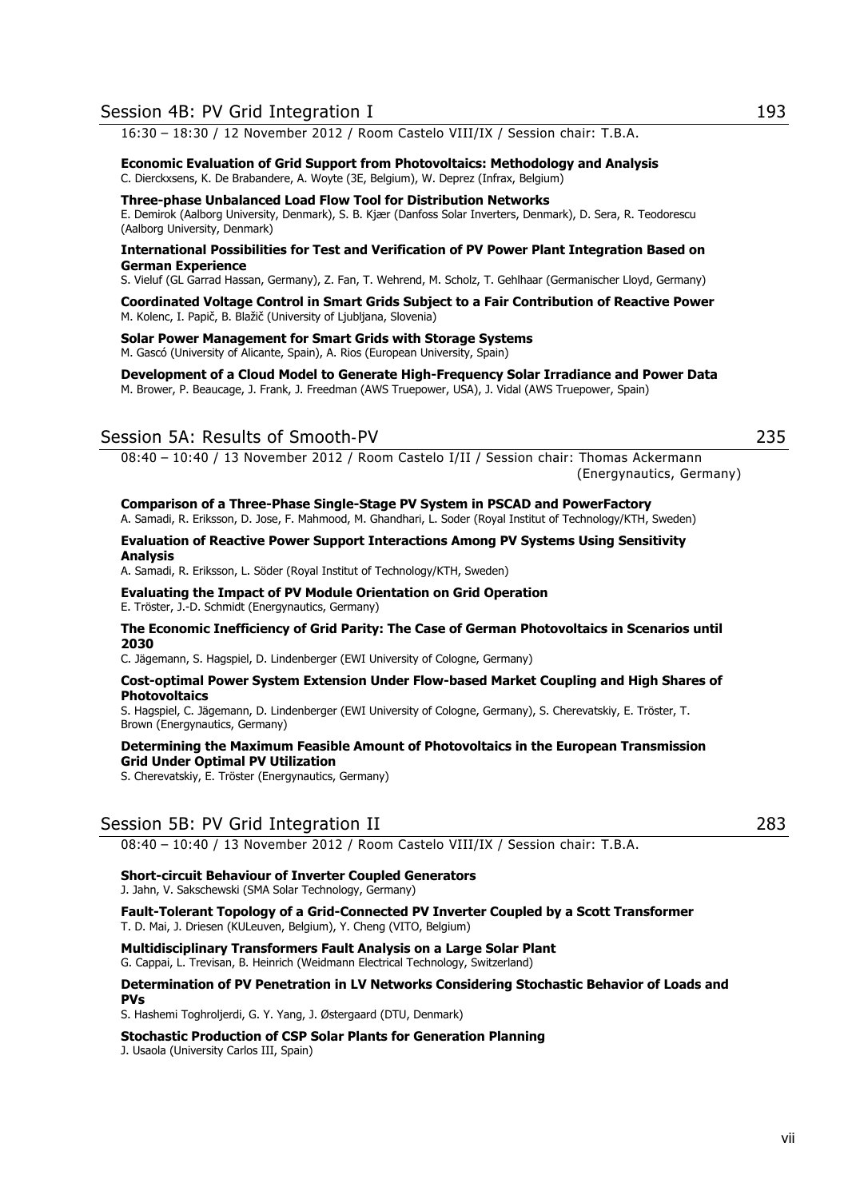16:30 – 18:30 / 12 November 2012 / Room Castelo VIII/IX / Session chair: T.B.A.

**Economic Evaluation of Grid Support from Photovoltaics: Methodology and Analysis**  C. Dierckxsens, K. De Brabandere, A. Woyte (3E, Belgium), W. Deprez (Infrax, Belgium)

#### **Three-phase Unbalanced Load Flow Tool for Distribution Networks**

E. Demirok (Aalborg University, Denmark), S. B. Kjær (Danfoss Solar Inverters, Denmark), D. Sera, R. Teodorescu (Aalborg University, Denmark)

#### **International Possibilities for Test and Verification of PV Power Plant Integration Based on German Experience**

S. Vieluf (GL Garrad Hassan, Germany), Z. Fan, T. Wehrend, M. Scholz, T. Gehlhaar (Germanischer Lloyd, Germany)

#### **Coordinated Voltage Control in Smart Grids Subject to a Fair Contribution of Reactive Power**  M. Kolenc, I. Papič, B. Blažič (University of Ljubljana, Slovenia)

#### **Solar Power Management for Smart Grids with Storage Systems**

M. Gascó (University of Alicante, Spain), A. Rios (European University, Spain)

## **Development of a Cloud Model to Generate High-Frequency Solar Irradiance and Power Data**

M. Brower, P. Beaucage, J. Frank, J. Freedman (AWS Truepower, USA), J. Vidal (AWS Truepower, Spain)

### Session 5A: Results of Smooth-PV 235

08:40 – 10:40 / 13 November 2012 / Room Castelo I/II / Session chair: Thomas Ackermann (Energynautics, Germany)

#### **Comparison of a Three-Phase Single-Stage PV System in PSCAD and PowerFactory**  A. Samadi, R. Eriksson, D. Jose, F. Mahmood, M. Ghandhari, L. Soder (Royal Institut of Technology/KTH, Sweden)

#### **Evaluation of Reactive Power Support Interactions Among PV Systems Using Sensitivity Analysis**

A. Samadi, R. Eriksson, L. Söder (Royal Institut of Technology/KTH, Sweden)

## **Evaluating the Impact of PV Module Orientation on Grid Operation**

E. Tröster, J.-D. Schmidt (Energynautics, Germany)

#### **The Economic Inefficiency of Grid Parity: The Case of German Photovoltaics in Scenarios until 2030**

C. Jägemann, S. Hagspiel, D. Lindenberger (EWI University of Cologne, Germany)

#### **Cost-optimal Power System Extension Under Flow-based Market Coupling and High Shares of Photovoltaics**

S. Hagspiel, C. Jägemann, D. Lindenberger (EWI University of Cologne, Germany), S. Cherevatskiy, E. Tröster, T. Brown (Energynautics, Germany)

#### **Determining the Maximum Feasible Amount of Photovoltaics in the European Transmission Grid Under Optimal PV Utilization**

S. Cherevatskiy, E. Tröster (Energynautics, Germany)

#### Session 5B: PV Grid Integration II 283

08:40 – 10:40 / 13 November 2012 / Room Castelo VIII/IX / Session chair: T.B.A.

#### **Short-circuit Behaviour of Inverter Coupled Generators**

J. Jahn, V. Sakschewski (SMA Solar Technology, Germany)

**Fault-Tolerant Topology of a Grid-Connected PV Inverter Coupled by a Scott Transformer**  T. D. Mai, J. Driesen (KULeuven, Belgium), Y. Cheng (VITO, Belgium)

#### **Multidisciplinary Transformers Fault Analysis on a Large Solar Plant**  G. Cappai, L. Trevisan, B. Heinrich (Weidmann Electrical Technology, Switzerland)

#### **Determination of PV Penetration in LV Networks Considering Stochastic Behavior of Loads and PVs**

S. Hashemi Toghroljerdi, G. Y. Yang, J. Østergaard (DTU, Denmark)

#### **Stochastic Production of CSP Solar Plants for Generation Planning**

J. Usaola (University Carlos III, Spain)